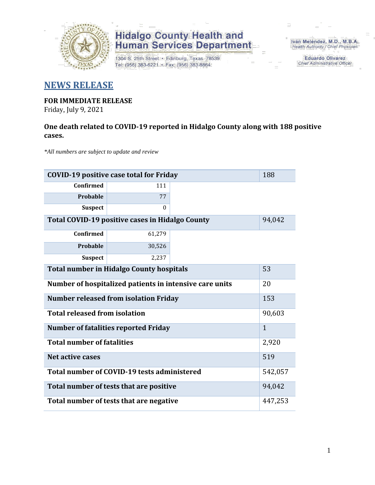

1304 S. 25th Street · Edinburg, Texas 78539 Tel: (956) 383-6221 · Fax: (956) 383-8864

Iván Meléndez, M.D., M.B.A. Health Authority / Chief Physician

> **Eduardo Olivarez** Chief Administrative Officer

#### **NEWS RELEASE**

### **FOR IMMEDIATE RELEASE**

Friday, July 9, 2021

#### **One death related to COVID-19 reported in Hidalgo County along with 188 positive cases.**

*\*All numbers are subject to update and review*

| 188<br><b>COVID-19 positive case total for Friday</b>   |              |  |  |  |  |
|---------------------------------------------------------|--------------|--|--|--|--|
| Confirmed                                               | 111          |  |  |  |  |
| Probable                                                | 77           |  |  |  |  |
| <b>Suspect</b>                                          | $\Omega$     |  |  |  |  |
| Total COVID-19 positive cases in Hidalgo County         | 94,042       |  |  |  |  |
| <b>Confirmed</b>                                        | 61,279       |  |  |  |  |
| Probable                                                | 30,526       |  |  |  |  |
| <b>Suspect</b>                                          | 2,237        |  |  |  |  |
| <b>Total number in Hidalgo County hospitals</b>         |              |  |  |  |  |
| Number of hospitalized patients in intensive care units | 20           |  |  |  |  |
| <b>Number released from isolation Friday</b>            |              |  |  |  |  |
| <b>Total released from isolation</b>                    | 90,603       |  |  |  |  |
| <b>Number of fatalities reported Friday</b>             | $\mathbf{1}$ |  |  |  |  |
| <b>Total number of fatalities</b>                       | 2,920        |  |  |  |  |
| <b>Net active cases</b>                                 | 519          |  |  |  |  |
| Total number of COVID-19 tests administered             | 542,057      |  |  |  |  |
| Total number of tests that are positive                 | 94,042       |  |  |  |  |
| Total number of tests that are negative                 |              |  |  |  |  |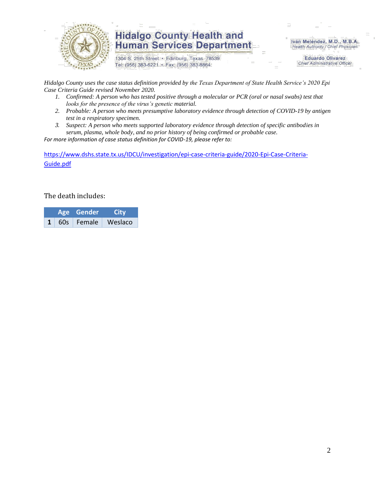

1304 S. 25th Street · Edinburg, Texas 78539 Tel: (956) 383-6221 · Fax: (956) 383-8864

Iván Meléndez, M.D., M.B.A. Health Authority / Chief Physician

> **Eduardo Olivarez Chief Administrative Officer**

*Hidalgo County uses the case status definition provided by the Texas Department of State Health Service's 2020 Epi Case Criteria Guide revised November 2020.*

- *1. Confirmed: A person who has tested positive through a molecular or PCR (oral or nasal swabs) test that looks for the presence of the virus's genetic material.*
- *2. Probable: A person who meets presumptive laboratory evidence through detection of COVID-19 by antigen test in a respiratory specimen.*
- *3. Suspect: A person who meets supported laboratory evidence through detection of specific antibodies in serum, plasma, whole body, and no prior history of being confirmed or probable case.*

*For more information of case status definition for COVID-19, please refer to:*

[https://www.dshs.state.tx.us/IDCU/investigation/epi-case-criteria-guide/2020-Epi-Case-Criteria-](https://www.dshs.state.tx.us/IDCU/investigation/epi-case-criteria-guide/2020-Epi-Case-Criteria-Guide.pdf)[Guide.pdf](https://www.dshs.state.tx.us/IDCU/investigation/epi-case-criteria-guide/2020-Epi-Case-Criteria-Guide.pdf)

The death includes:

|  |  | Age Gender   | City    |  |
|--|--|--------------|---------|--|
|  |  | 60s   Female | Weslaco |  |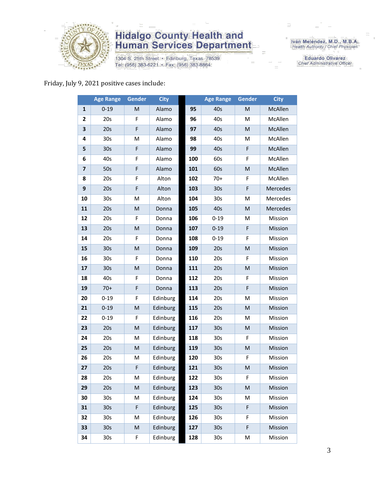

1304 S. 25th Street • Edinburg, Texas 78539<br>Tel: (956) 383-6221 • Fax: (956) 383-8864

Iván Meléndez, M.D., M.B.A.<br>Health Authority / Chief Physician

**Eduardo Olivarez** Chief Administrative Officer

#### Friday, July 9, 2021 positive cases include:

|              | <b>Age Range</b> | <b>Gender</b> | <b>City</b> |     | <b>Age Range</b> | <b>Gender</b>                                                                                              | <b>City</b> |
|--------------|------------------|---------------|-------------|-----|------------------|------------------------------------------------------------------------------------------------------------|-------------|
| $\mathbf{1}$ | $0 - 19$         | M             | Alamo       | 95  | 40s              | M                                                                                                          | McAllen     |
| 2            | 20s              | F             | Alamo       | 96  | 40s              | M                                                                                                          | McAllen     |
| 3            | 20s              | F             | Alamo       | 97  | 40s              | ${\sf M}$                                                                                                  | McAllen     |
| 4            | 30 <sub>s</sub>  | M             | Alamo       | 98  | 40s              | M                                                                                                          | McAllen     |
| 5            | 30 <sub>s</sub>  | F             | Alamo       | 99  | 40s              | F                                                                                                          | McAllen     |
| 6            | 40s              | F             | Alamo       | 100 | 60s              | F                                                                                                          | McAllen     |
| 7            | 50s              | F             | Alamo       | 101 | 60s              | ${\sf M}$                                                                                                  | McAllen     |
| 8            | 20s              | F             | Alton       | 102 | $70+$            | $\mathsf F$                                                                                                | McAllen     |
| 9            | 20s              | F             | Alton       | 103 | 30 <sub>s</sub>  | F                                                                                                          | Mercedes    |
| 10           | 30s              | M             | Alton       | 104 | 30s              | M                                                                                                          | Mercedes    |
| 11           | 20s              | M             | Donna       | 105 | 40s              | M                                                                                                          | Mercedes    |
| 12           | 20s              | F             | Donna       | 106 | $0 - 19$         | M                                                                                                          | Mission     |
| 13           | 20s              | M             | Donna       | 107 | $0 - 19$         | $\mathsf F$                                                                                                | Mission     |
| 14           | 20s              | F             | Donna       | 108 | $0 - 19$         | F                                                                                                          | Mission     |
| 15           | 30 <sub>s</sub>  | M             | Donna       | 109 | 20s              | ${\sf M}$                                                                                                  | Mission     |
| 16           | 30s              | F             | Donna       | 110 | 20s              | F                                                                                                          | Mission     |
| 17           | 30 <sub>s</sub>  | M             | Donna       | 111 | 20s              | ${\sf M}$                                                                                                  | Mission     |
| 18           | 40s              | F             | Donna       | 112 | 20s              | F                                                                                                          | Mission     |
| 19           | $70+$            | F             | Donna       | 113 | 20s              | F                                                                                                          | Mission     |
| 20           | $0 - 19$         | F             | Edinburg    | 114 | 20s              | M                                                                                                          | Mission     |
| 21           | $0 - 19$         | M             | Edinburg    | 115 | 20s              | ${\sf M}$                                                                                                  | Mission     |
| 22           | $0 - 19$         | F             | Edinburg    | 116 | 20s              | M                                                                                                          | Mission     |
| 23           | 20s              | M             | Edinburg    | 117 | 30 <sub>s</sub>  | M                                                                                                          | Mission     |
| 24           | 20s              | М             | Edinburg    | 118 | 30 <sub>s</sub>  | F                                                                                                          | Mission     |
| 25           | 20s              | ${\sf M}$     | Edinburg    | 119 | 30 <sub>s</sub>  | ${\sf M}$                                                                                                  | Mission     |
| 26           | 20s              | M             | Edinburg    | 120 | 30 <sub>s</sub>  | F                                                                                                          | Mission     |
| 27           | 20s              | F             | Edinburg    | 121 | 30 <sub>s</sub>  | M                                                                                                          | Mission     |
| 28           | 20s              | М             | Edinburg    | 122 | 30 <sub>s</sub>  | F                                                                                                          | Mission     |
| 29           | 20s              | M             | Edinburg    | 123 | 30 <sub>s</sub>  | $\mathsf{M}% _{T}=\mathsf{M}_{T}\!\left( a,b\right) ,\ \mathsf{M}_{T}=\mathsf{M}_{T}\!\left( a,b\right) ,$ | Mission     |
| 30           | 30s              | M             | Edinburg    | 124 | 30s              | M                                                                                                          | Mission     |
| 31           | 30 <sub>s</sub>  | F             | Edinburg    | 125 | 30 <sub>s</sub>  | F                                                                                                          | Mission     |
| 32           | 30s              | M             | Edinburg    | 126 | 30s              | F                                                                                                          | Mission     |
| 33           | 30 <sub>s</sub>  | M             | Edinburg    | 127 | 30 <sub>s</sub>  | F                                                                                                          | Mission     |
| 34           | 30s              | F             | Edinburg    | 128 | 30s              | М                                                                                                          | Mission     |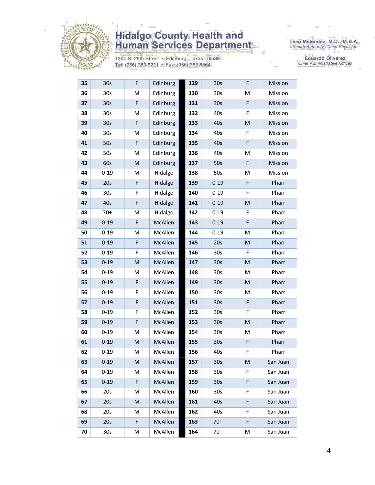

1304 S. 25th Street • Edinburg, Texas 78539<br>Tel: (956) 383-6221 • Fax: (956) 383-8864

Iván Meléndez, M.D., M.B.A.<br>Health Authority / Chief Physician

**Eduardo Olivarez** Chief Administrative Officer

| 35 | 30s             | F         | Edinburg | 129 | 30s             | F                                                                                                          | <b>Mission</b> |
|----|-----------------|-----------|----------|-----|-----------------|------------------------------------------------------------------------------------------------------------|----------------|
| 36 | 30s             | M         | Edinburg | 130 | 30s             | M                                                                                                          | Mission        |
| 37 | 30s             | F         | Edinburg | 131 | 30s             | F                                                                                                          | Mission        |
| 38 | 30 <sub>s</sub> | M         | Edinburg | 132 | 40s             | F                                                                                                          | Mission        |
| 39 | 30 <sub>s</sub> | F         | Edinburg | 133 | 40s             | ${\sf M}$                                                                                                  | Mission        |
| 40 | 30 <sub>s</sub> | M         | Edinburg | 134 | 40s             | F                                                                                                          | Mission        |
| 41 | 50s             | F         | Edinburg | 135 | 40s             | F                                                                                                          | Mission        |
| 42 | 50s             | M         | Edinburg | 136 | 40s             | M                                                                                                          | Mission        |
| 43 | 60s             | ${\sf M}$ | Edinburg | 137 | 50s             | $\mathsf F$                                                                                                | Mission        |
| 44 | $0 - 19$        | M         | Hidalgo  | 138 | 50s             | M                                                                                                          | Mission        |
| 45 | 20s             | F         | Hidalgo  | 139 | $0 - 19$        | F                                                                                                          | Pharr          |
| 46 | 30 <sub>s</sub> | F         | Hidalgo  | 140 | $0 - 19$        | F                                                                                                          | Pharr          |
| 47 | 40s             | F         | Hidalgo  | 141 | $0 - 19$        | ${\sf M}$                                                                                                  | Pharr          |
| 48 | $70+$           | M         | Hidalgo  | 142 | $0 - 19$        | F                                                                                                          | Pharr          |
| 49 | $0 - 19$        | F         | McAllen  | 143 | $0 - 19$        | F                                                                                                          | Pharr          |
| 50 | $0 - 19$        | M         | McAllen  | 144 | $0 - 19$        | M                                                                                                          | Pharr          |
| 51 | $0 - 19$        | F         | McAllen  | 145 | 20s             | M                                                                                                          | Pharr          |
| 52 | $0 - 19$        | F         | McAllen  | 146 | 30s             | F                                                                                                          | Pharr          |
| 53 | $0 - 19$        | M         | McAllen  | 147 | 30 <sub>s</sub> | ${\sf M}$                                                                                                  | Pharr          |
| 54 | $0 - 19$        | M         | McAllen  | 148 | 30s             | M                                                                                                          | Pharr          |
| 55 | $0 - 19$        | F         | McAllen  | 149 | 30 <sub>s</sub> | $\mathsf{M}% _{T}=\mathsf{M}_{T}\!\left( a,b\right) ,\ \mathsf{M}_{T}=\mathsf{M}_{T}\!\left( a,b\right) ,$ | Pharr          |
| 56 | $0 - 19$        | F         | McAllen  | 150 | 30 <sub>s</sub> | M                                                                                                          | Pharr          |
| 57 | $0 - 19$        | F         | McAllen  | 151 | 30 <sub>s</sub> | F                                                                                                          | Pharr          |
| 58 | $0 - 19$        | F         | McAllen  | 152 | 30s             | F                                                                                                          | Pharr          |
| 59 | $0 - 19$        | F         | McAllen  | 153 | 30 <sub>s</sub> | ${\sf M}$                                                                                                  | Pharr          |
| 60 | $0 - 19$        | M         | McAllen  | 154 | 30s             | M                                                                                                          | Pharr          |
| 61 | $0 - 19$        | M         | McAllen  | 155 | 30 <sub>s</sub> | F                                                                                                          | Pharr          |
| 62 | $0 - 19$        | M         | McAllen  | 156 | 40s             | F                                                                                                          | Pharr          |
| 63 | $0 - 19$        | M         | McAllen  | 157 | 30 <sub>s</sub> | M                                                                                                          | San Juan       |
| 64 | $0 - 19$        | Μ         | McAllen  | 158 | 30s             | F                                                                                                          | San Juan       |
| 65 | $0 - 19$        | F         | McAllen  | 159 | 30 <sub>s</sub> | F                                                                                                          | San Juan       |
| 66 | 20s             | Μ         | McAllen  | 160 | 30s             | F                                                                                                          | San Juan       |
| 67 | 20s             | M         | McAllen  | 161 | 40s             | F                                                                                                          | San Juan       |
| 68 | 20s             | Μ         | McAllen  | 162 | 40s             | F                                                                                                          | San Juan       |
| 69 | 20s             | F         | McAllen  | 163 | $70+$           | F                                                                                                          | San Juan       |
| 70 | 30 <sub>s</sub> | М         | McAllen  | 164 | $70+$           | М                                                                                                          | San Juan       |